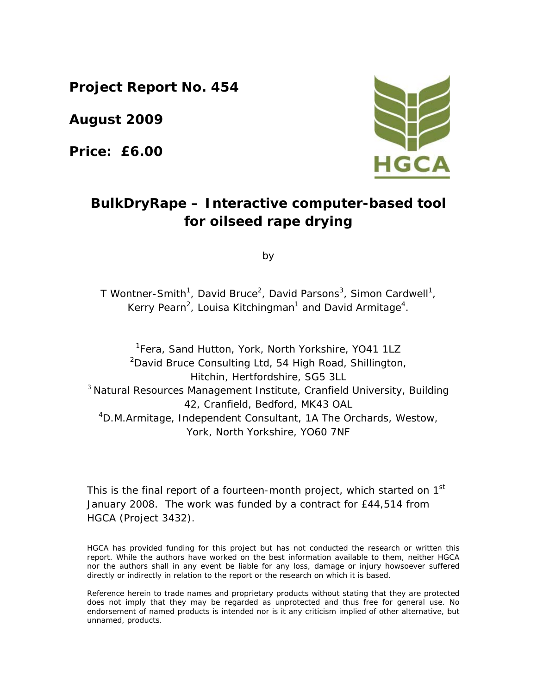**Project Report No. 454** 

**August 2009** 

**Price: £6.00** 



# **BulkDryRape – Interactive computer-based tool for oilseed rape drying**

by

T Wontner-Smith<sup>1</sup>, David Bruce<sup>2</sup>, David Parsons<sup>3</sup>, Simon Cardwell<sup>1</sup>, Kerry Pearn<sup>2</sup>, Louisa Kitchingman<sup>1</sup> and David Armitage<sup>4</sup>.

<sup>1</sup>Fera, Sand Hutton, York, North Yorkshire, YO41 1LZ <sup>2</sup>David Bruce Consulting Ltd, 54 High Road, Shillington, Hitchin, Hertfordshire, SG5 3LL  $3$  Natural Resources Management Institute, Cranfield University, Building 42, Cranfield, Bedford, MK43 OAL 4 D.M.Armitage, Independent Consultant, 1A The Orchards, Westow, York, North Yorkshire, YO60 7NF

This is the final report of a fourteen-month project, which started on 1<sup>st</sup> January 2008. The work was funded by a contract for £44,514 from HGCA (Project 3432).

HGCA has provided funding for this project but has not conducted the research or written this report. While the authors have worked on the best information available to them, neither HGCA nor the authors shall in any event be liable for any loss, damage or injury howsoever suffered directly or indirectly in relation to the report or the research on which it is based.

Reference herein to trade names and proprietary products without stating that they are protected does not imply that they may be regarded as unprotected and thus free for general use. No endorsement of named products is intended nor is it any criticism implied of other alternative, but unnamed, products.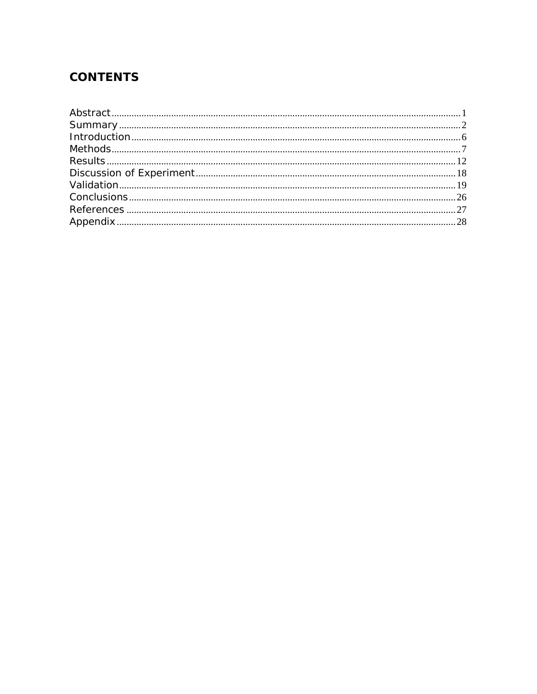# **CONTENTS**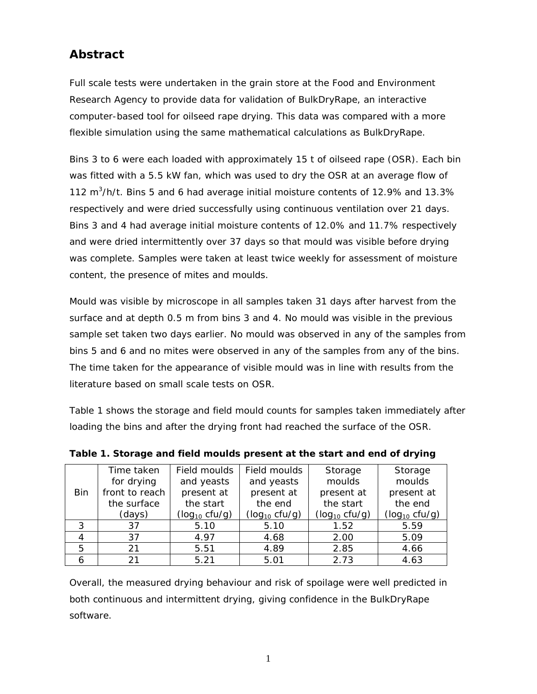# **Abstract**

Full scale tests were undertaken in the grain store at the Food and Environment Research Agency to provide data for validation of BulkDryRape, an interactive computer-based tool for oilseed rape drying. This data was compared with a more flexible simulation using the same mathematical calculations as BulkDryRape.

Bins 3 to 6 were each loaded with approximately 15 t of oilseed rape (OSR). Each bin was fitted with a 5.5 kW fan, which was used to dry the OSR at an average flow of 112  $m^3/h/t$ . Bins 5 and 6 had average initial moisture contents of 12.9% and 13.3% respectively and were dried successfully using continuous ventilation over 21 days. Bins 3 and 4 had average initial moisture contents of 12.0% and 11.7% respectively and were dried intermittently over 37 days so that mould was visible before drying was complete. Samples were taken at least twice weekly for assessment of moisture content, the presence of mites and moulds.

Mould was visible by microscope in all samples taken 31 days after harvest from the surface and at depth 0.5 m from bins 3 and 4. No mould was visible in the previous sample set taken two days earlier. No mould was observed in any of the samples from bins 5 and 6 and no mites were observed in any of the samples from any of the bins. The time taken for the appearance of visible mould was in line with results from the literature based on small scale tests on OSR.

Table 1 shows the storage and field mould counts for samples taken immediately after loading the bins and after the drying front had reached the surface of the OSR.

|     | Time taken     | Field moulds       | Field moulds       | Storage            | Storage            |
|-----|----------------|--------------------|--------------------|--------------------|--------------------|
|     | for drying     | and yeasts         | and yeasts         | moulds             | moulds             |
| Bin | front to reach | present at         | present at         | present at         | present at         |
|     | the surface    | the start          | the end            | the start          | the end            |
|     | (days)         | $(log_{10} cfu/g)$ | $(log_{10} cfu/g)$ | $(log_{10} cfu/g)$ | $(log_{10} cfu/g)$ |
| 3   | 37             | 5.10               | 5.10               | 1.52               | 5.59               |
|     | 37             | 4.97               | 4.68               | 2.00               | 5.09               |
| 5   | 21             | 5.51               | 4.89               | 2.85               | 4.66               |
| 6   | 21             | 5.21               | 5.01               | 2.73               | 4.63               |

**Table 1. Storage and field moulds present at the start and end of drying** 

Overall, the measured drying behaviour and risk of spoilage were well predicted in both continuous and intermittent drying, giving confidence in the BulkDryRape software.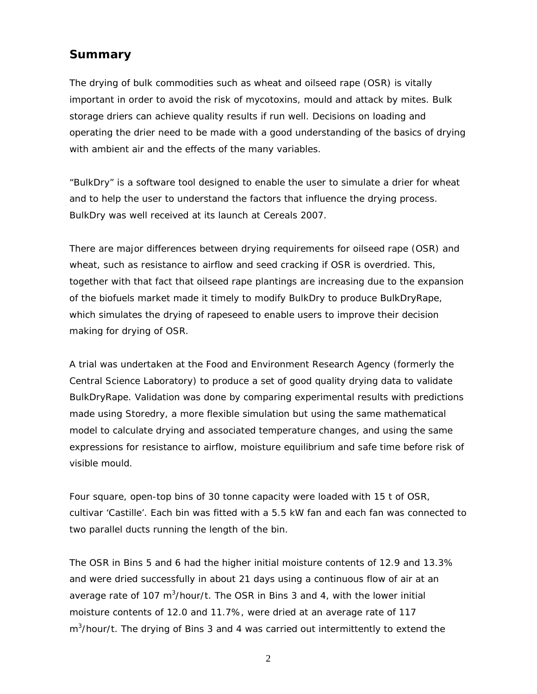## **Summary**

The drying of bulk commodities such as wheat and oilseed rape (OSR) is vitally important in order to avoid the risk of mycotoxins, mould and attack by mites. Bulk storage driers can achieve quality results if run well. Decisions on loading and operating the drier need to be made with a good understanding of the basics of drying with ambient air and the effects of the many variables.

"BulkDry" is a software tool designed to enable the user to simulate a drier for wheat and to help the user to understand the factors that influence the drying process. BulkDry was well received at its launch at Cereals 2007.

There are major differences between drying requirements for oilseed rape (OSR) and wheat, such as resistance to airflow and seed cracking if OSR is overdried. This, together with that fact that oilseed rape plantings are increasing due to the expansion of the biofuels market made it timely to modify BulkDry to produce BulkDryRape, which simulates the drying of rapeseed to enable users to improve their decision making for drying of OSR.

A trial was undertaken at the Food and Environment Research Agency (formerly the Central Science Laboratory) to produce a set of good quality drying data to validate BulkDryRape. Validation was done by comparing experimental results with predictions made using Storedry, a more flexible simulation but using the same mathematical model to calculate drying and associated temperature changes, and using the same expressions for resistance to airflow, moisture equilibrium and safe time before risk of visible mould.

Four square, open-top bins of 30 tonne capacity were loaded with 15 t of OSR, cultivar 'Castille'. Each bin was fitted with a 5.5 kW fan and each fan was connected to two parallel ducts running the length of the bin.

The OSR in Bins 5 and 6 had the higher initial moisture contents of 12.9 and 13.3% and were dried successfully in about 21 days using a continuous flow of air at an average rate of 107 m<sup>3</sup>/hour/t. The OSR in Bins 3 and 4, with the lower initial moisture contents of 12.0 and 11.7%, were dried at an average rate of 117 m<sup>3</sup>/hour/t. The drying of Bins 3 and 4 was carried out intermittently to extend the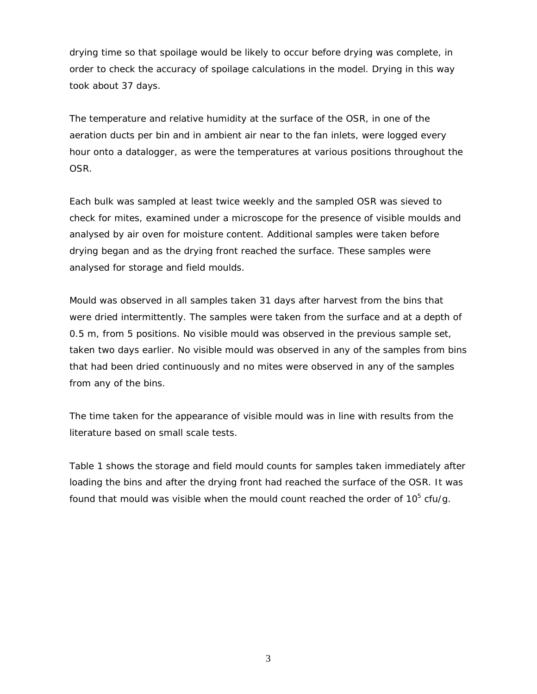drying time so that spoilage would be likely to occur before drying was complete, in order to check the accuracy of spoilage calculations in the model. Drying in this way took about 37 days.

The temperature and relative humidity at the surface of the OSR, in one of the aeration ducts per bin and in ambient air near to the fan inlets, were logged every hour onto a datalogger, as were the temperatures at various positions throughout the OSR.

Each bulk was sampled at least twice weekly and the sampled OSR was sieved to check for mites, examined under a microscope for the presence of visible moulds and analysed by air oven for moisture content. Additional samples were taken before drying began and as the drying front reached the surface. These samples were analysed for storage and field moulds.

Mould was observed in all samples taken 31 days after harvest from the bins that were dried intermittently. The samples were taken from the surface and at a depth of 0.5 m, from 5 positions. No visible mould was observed in the previous sample set, taken two days earlier. No visible mould was observed in any of the samples from bins that had been dried continuously and no mites were observed in any of the samples from any of the bins.

The time taken for the appearance of visible mould was in line with results from the literature based on small scale tests.

Table 1 shows the storage and field mould counts for samples taken immediately after loading the bins and after the drying front had reached the surface of the OSR. It was found that mould was visible when the mould count reached the order of 10<sup>5</sup> cfu/g.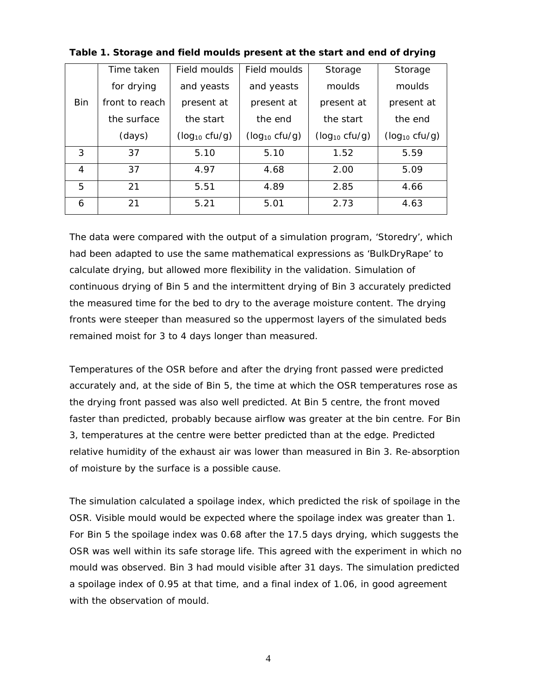|                | Time taken     | Field moulds       | Field moulds         | Storage            | Storage            |
|----------------|----------------|--------------------|----------------------|--------------------|--------------------|
|                | for drying     | and yeasts         | and yeasts<br>moulds |                    | moulds             |
| <b>Bin</b>     | front to reach | present at         | present at           | present at         | present at         |
|                | the surface    | the start          | the end              | the start          | the end            |
|                | (days)         | $(log_{10} cfu/g)$ | $(log_{10} cfu/g)$   | $(log_{10} cfu/g)$ | $(log_{10} cfu/g)$ |
| 3              | 37             | 5.10               | 5.10                 | 1.52               | 5.59               |
| $\overline{4}$ | 37             | 4.97               | 4.68                 | 2.00               | 5.09               |
| 5              | 21             | 5.51               | 4.89                 | 2.85               | 4.66               |
| 6              | 21             | 5.21               | 5.01                 | 2.73               | 4.63               |

**Table 1. Storage and field moulds present at the start and end of drying** 

The data were compared with the output of a simulation program, 'Storedry', which had been adapted to use the same mathematical expressions as 'BulkDryRape' to calculate drying, but allowed more flexibility in the validation. Simulation of continuous drying of Bin 5 and the intermittent drying of Bin 3 accurately predicted the measured time for the bed to dry to the average moisture content. The drying fronts were steeper than measured so the uppermost layers of the simulated beds remained moist for 3 to 4 days longer than measured.

Temperatures of the OSR before and after the drying front passed were predicted accurately and, at the side of Bin 5, the time at which the OSR temperatures rose as the drying front passed was also well predicted. At Bin 5 centre, the front moved faster than predicted, probably because airflow was greater at the bin centre. For Bin 3, temperatures at the centre were better predicted than at the edge. Predicted relative humidity of the exhaust air was lower than measured in Bin 3. Re-absorption of moisture by the surface is a possible cause.

The simulation calculated a spoilage index, which predicted the risk of spoilage in the OSR. Visible mould would be expected where the spoilage index was greater than 1. For Bin 5 the spoilage index was 0.68 after the 17.5 days drying, which suggests the OSR was well within its safe storage life. This agreed with the experiment in which no mould was observed. Bin 3 had mould visible after 31 days. The simulation predicted a spoilage index of 0.95 at that time, and a final index of 1.06, in good agreement with the observation of mould.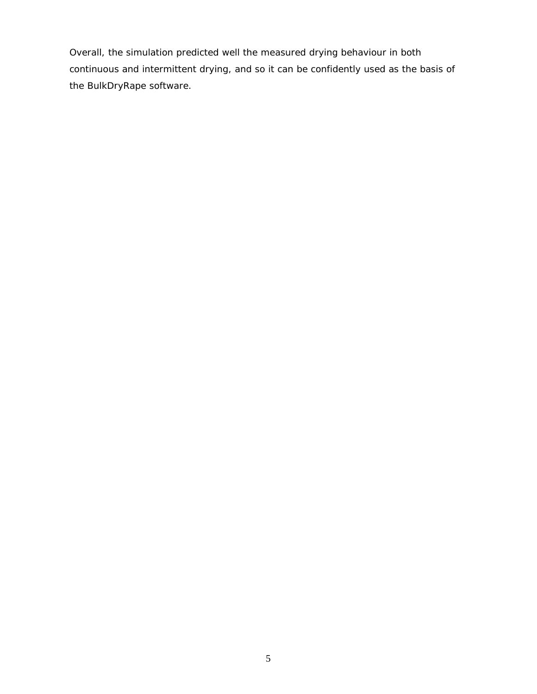Overall, the simulation predicted well the measured drying behaviour in both continuous and intermittent drying, and so it can be confidently used as the basis of the BulkDryRape software.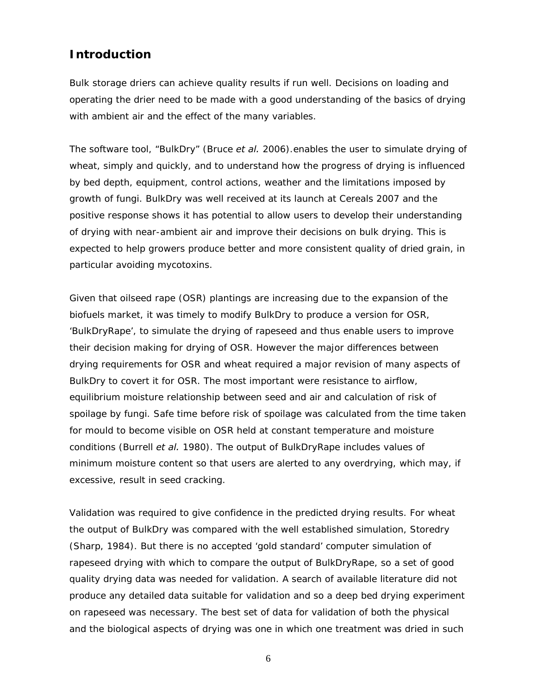### **Introduction**

Bulk storage driers can achieve quality results if run well. Decisions on loading and operating the drier need to be made with a good understanding of the basics of drying with ambient air and the effect of the many variables.

The software tool, "BulkDry" (Bruce *et al.* 2006).enables the user to simulate drying of wheat, simply and quickly, and to understand how the progress of drying is influenced by bed depth, equipment, control actions, weather and the limitations imposed by growth of fungi. BulkDry was well received at its launch at Cereals 2007 and the positive response shows it has potential to allow users to develop their understanding of drying with near-ambient air and improve their decisions on bulk drying. This is expected to help growers produce better and more consistent quality of dried grain, in particular avoiding mycotoxins.

Given that oilseed rape (OSR) plantings are increasing due to the expansion of the biofuels market, it was timely to modify BulkDry to produce a version for OSR, 'BulkDryRape', to simulate the drying of rapeseed and thus enable users to improve their decision making for drying of OSR. However the major differences between drying requirements for OSR and wheat required a major revision of many aspects of BulkDry to covert it for OSR. The most important were resistance to airflow, equilibrium moisture relationship between seed and air and calculation of risk of spoilage by fungi. Safe time before risk of spoilage was calculated from the time taken for mould to become visible on OSR held at constant temperature and moisture conditions (Burrell *et al.* 1980). The output of BulkDryRape includes values of minimum moisture content so that users are alerted to any overdrying, which may, if excessive, result in seed cracking.

Validation was required to give confidence in the predicted drying results. For wheat the output of BulkDry was compared with the well established simulation, Storedry (Sharp, 1984). But there is no accepted 'gold standard' computer simulation of rapeseed drying with which to compare the output of BulkDryRape, so a set of good quality drying data was needed for validation. A search of available literature did not produce any detailed data suitable for validation and so a deep bed drying experiment on rapeseed was necessary. The best set of data for validation of both the physical and the biological aspects of drying was one in which one treatment was dried in such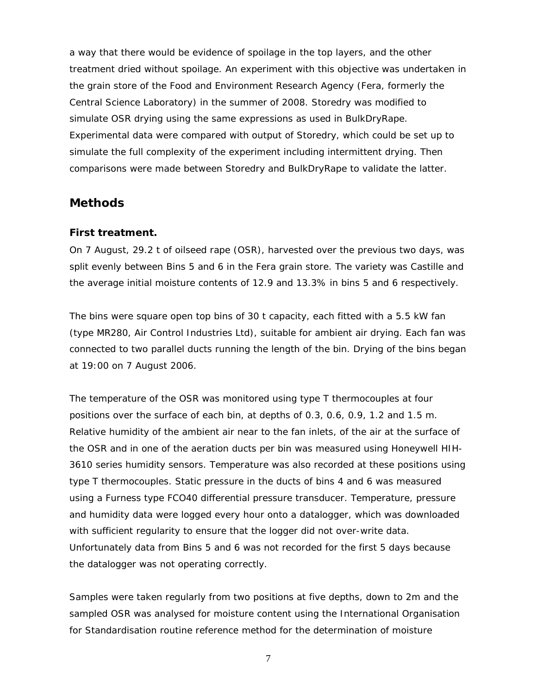a way that there would be evidence of spoilage in the top layers, and the other treatment dried without spoilage. An experiment with this objective was undertaken in the grain store of the Food and Environment Research Agency (Fera, formerly the Central Science Laboratory) in the summer of 2008. Storedry was modified to simulate OSR drying using the same expressions as used in BulkDryRape. Experimental data were compared with output of Storedry, which could be set up to simulate the full complexity of the experiment including intermittent drying. Then comparisons were made between Storedry and BulkDryRape to validate the latter.

### **Methods**

#### **First treatment.**

On 7 August, 29.2 t of oilseed rape (OSR), harvested over the previous two days, was split evenly between Bins 5 and 6 in the Fera grain store. The variety was Castille and the average initial moisture contents of 12.9 and 13.3% in bins 5 and 6 respectively.

The bins were square open top bins of 30 t capacity, each fitted with a 5.5 kW fan (type MR280, Air Control Industries Ltd), suitable for ambient air drying. Each fan was connected to two parallel ducts running the length of the bin. Drying of the bins began at 19:00 on 7 August 2006.

The temperature of the OSR was monitored using type T thermocouples at four positions over the surface of each bin, at depths of 0.3, 0.6, 0.9, 1.2 and 1.5 m. Relative humidity of the ambient air near to the fan inlets, of the air at the surface of the OSR and in one of the aeration ducts per bin was measured using Honeywell HIH-3610 series humidity sensors. Temperature was also recorded at these positions using type T thermocouples. Static pressure in the ducts of bins 4 and 6 was measured using a Furness type FCO40 differential pressure transducer. Temperature, pressure and humidity data were logged every hour onto a datalogger, which was downloaded with sufficient regularity to ensure that the logger did not over-write data. Unfortunately data from Bins 5 and 6 was not recorded for the first 5 days because the datalogger was not operating correctly.

Samples were taken regularly from two positions at five depths, down to 2m and the sampled OSR was analysed for moisture content using the International Organisation for Standardisation routine reference method for the determination of moisture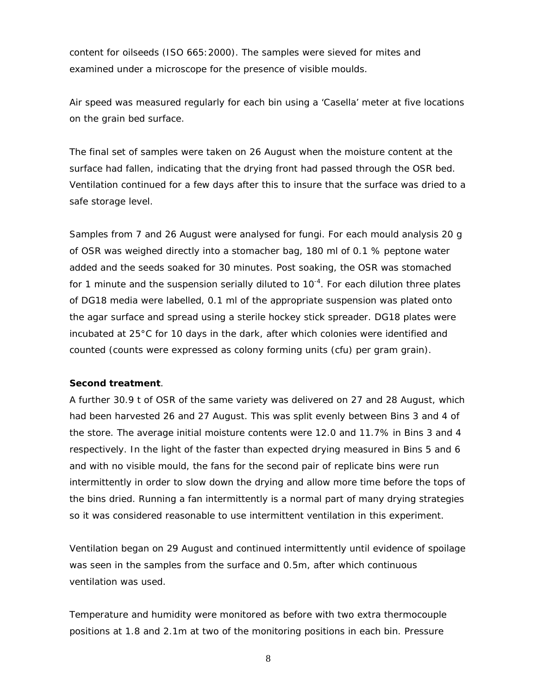content for oilseeds (ISO 665:2000). The samples were sieved for mites and examined under a microscope for the presence of visible moulds.

Air speed was measured regularly for each bin using a 'Casella' meter at five locations on the grain bed surface.

The final set of samples were taken on 26 August when the moisture content at the surface had fallen, indicating that the drying front had passed through the OSR bed. Ventilation continued for a few days after this to insure that the surface was dried to a safe storage level.

Samples from 7 and 26 August were analysed for fungi. For each mould analysis 20 g of OSR was weighed directly into a stomacher bag, 180 ml of 0.1 % peptone water added and the seeds soaked for 30 minutes. Post soaking, the OSR was stomached for 1 minute and the suspension serially diluted to  $10^{-4}$ . For each dilution three plates of DG18 media were labelled, 0.1 ml of the appropriate suspension was plated onto the agar surface and spread using a sterile hockey stick spreader. DG18 plates were incubated at 25°C for 10 days in the dark, after which colonies were identified and counted (counts were expressed as colony forming units (cfu) per gram grain).

#### **Second treatment**.

A further 30.9 t of OSR of the same variety was delivered on 27 and 28 August, which had been harvested 26 and 27 August. This was split evenly between Bins 3 and 4 of the store. The average initial moisture contents were 12.0 and 11.7% in Bins 3 and 4 respectively. In the light of the faster than expected drying measured in Bins 5 and 6 and with no visible mould, the fans for the second pair of replicate bins were run intermittently in order to slow down the drying and allow more time before the tops of the bins dried. Running a fan intermittently is a normal part of many drying strategies so it was considered reasonable to use intermittent ventilation in this experiment.

Ventilation began on 29 August and continued intermittently until evidence of spoilage was seen in the samples from the surface and 0.5m, after which continuous ventilation was used.

Temperature and humidity were monitored as before with two extra thermocouple positions at 1.8 and 2.1m at two of the monitoring positions in each bin. Pressure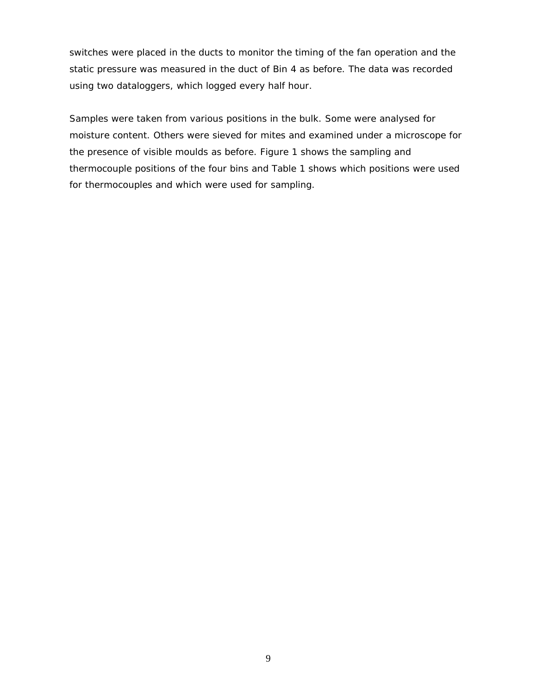switches were placed in the ducts to monitor the timing of the fan operation and the static pressure was measured in the duct of Bin 4 as before. The data was recorded using two dataloggers, which logged every half hour.

Samples were taken from various positions in the bulk. Some were analysed for moisture content. Others were sieved for mites and examined under a microscope for the presence of visible moulds as before. Figure 1 shows the sampling and thermocouple positions of the four bins and Table 1 shows which positions were used for thermocouples and which were used for sampling.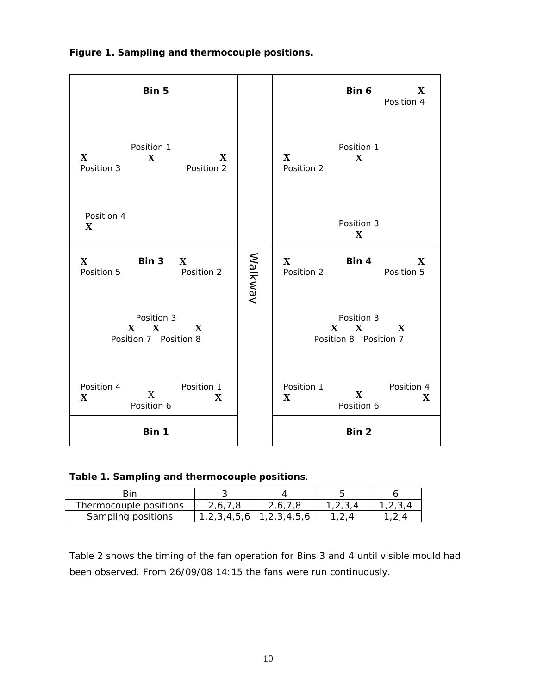**Figure 1. Sampling and thermocouple positions.** 

| Bin 5                                                                                                                                                    |                           |         |                            | Bin 6                                           | X<br>Position 4           |
|----------------------------------------------------------------------------------------------------------------------------------------------------------|---------------------------|---------|----------------------------|-------------------------------------------------|---------------------------|
| Position 1<br>$\mathbf{X}$<br>$\mathbf{X}$<br>Position 3                                                                                                 | $\mathbf X$<br>Position 2 |         | $\mathbf{X}$<br>Position 2 | Position 1<br>$\mathbf X$                       |                           |
| Position 4<br>$\mathbf{X}$                                                                                                                               |                           |         |                            | Position 3<br>$\mathbf{X}$                      |                           |
| $\mathbf{X}$<br>Bin $3 \times X$<br>Position 5                                                                                                           | Position 2                | Walkway | $\mathbf{X}$<br>Position 2 | Bin 4                                           | $\mathbf X$<br>Position 5 |
| Position 3<br>$\mathbf{X}$ $\mathbf{X}$<br>Position 7 Position 8                                                                                         | X                         |         |                            | Position 3<br>$X \t X$<br>Position 8 Position 7 | $\mathbf X$               |
| Position 4<br>X<br>$\mathbf{X}$<br>Position 6                                                                                                            | Position 1<br>$\mathbf X$ |         | Position 1<br>$\mathbf{X}$ | $\mathbf{X}$<br>Position 6                      | Position 4<br>$\mathbf X$ |
| Bin 1                                                                                                                                                    |                           |         |                            | Bin 2                                           |                           |
| Table 1. Sampling and thermocouple positions.                                                                                                            |                           |         |                            |                                                 |                           |
| Bin                                                                                                                                                      | 3                         |         | 4                          | 5                                               | 6                         |
| Thermocouple positions                                                                                                                                   | 2, 6, 7, 8                |         | 2,6,7,8                    | 1,2,3,4                                         | 1, 2, 3, 4                |
| Sampling positions                                                                                                                                       | 1, 2, 3, 4, 5, 6          |         | 1, 2, 3, 4, 5, 6           | 1, 2, 4                                         | 1, 2, 4                   |
| Table 2 shows the timing of the fan operation for Bins 3 and 4 until visible mould<br>been observed. From 26/09/08 14:15 the fans were run continuously. |                           |         |                            |                                                 |                           |

|  |  |  |  | Table 1. Sampling and thermocouple positions. |
|--|--|--|--|-----------------------------------------------|
|--|--|--|--|-----------------------------------------------|

| Thermocouple positions | 2.6.1            | 2.6.7.8          |  |
|------------------------|------------------|------------------|--|
| Sampling positions     | 1, 2, 3, 4, 5, 6 | 1, 2, 3, 4, 5, 6 |  |

Table 2 shows the timing of the fan operation for Bins 3 and 4 until visible mould had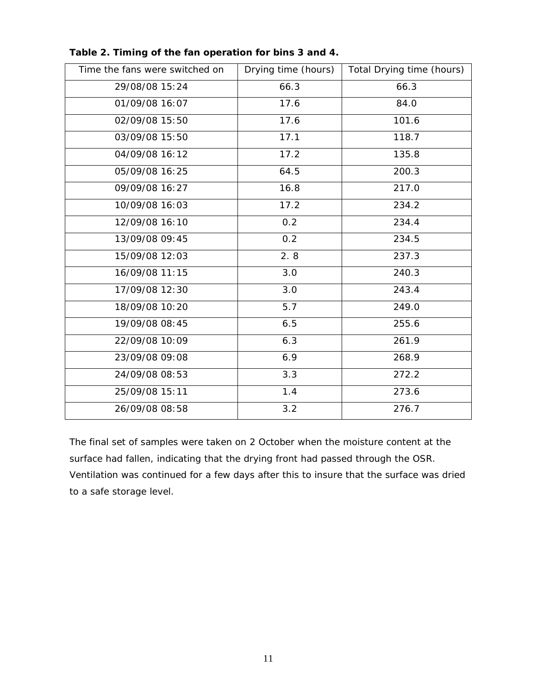| Time the fans were switched on | Drying time (hours) | Total Drying time (hours) |
|--------------------------------|---------------------|---------------------------|
| 29/08/08 15:24                 | 66.3                | 66.3                      |
| 01/09/08 16:07                 | 17.6                | 84.0                      |
| 02/09/08 15:50                 | 17.6                | 101.6                     |
| 03/09/08 15:50                 | 17.1                | 118.7                     |
| 04/09/08 16:12                 | 17.2                | 135.8                     |
| 05/09/08 16:25                 | 64.5                | 200.3                     |
| 09/09/08 16:27                 | 16.8                | 217.0                     |
| 10/09/08 16:03                 | 17.2                | 234.2                     |
| 12/09/08 16:10                 | 0.2                 | 234.4                     |
| 13/09/08 09:45                 | 0.2                 | 234.5                     |
| 15/09/08 12:03                 | 2.8                 | 237.3                     |
| 16/09/08 11:15                 | 3.0                 | 240.3                     |
| 17/09/08 12:30                 | 3.0                 | 243.4                     |
| 18/09/08 10:20                 | 5.7                 | 249.0                     |
| 19/09/08 08:45                 | 6.5                 | 255.6                     |
| 22/09/08 10:09                 | 6.3                 | 261.9                     |
| 23/09/08 09:08                 | 6.9                 | 268.9                     |
| 24/09/08 08:53                 | 3.3                 | 272.2                     |
| 25/09/08 15:11                 | 1.4                 | 273.6                     |
| 26/09/08 08:58                 | 3.2                 | 276.7                     |

**Table 2. Timing of the fan operation for bins 3 and 4.** 

The final set of samples were taken on 2 October when the moisture content at the surface had fallen, indicating that the drying front had passed through the OSR. Ventilation was continued for a few days after this to insure that the surface was dried to a safe storage level.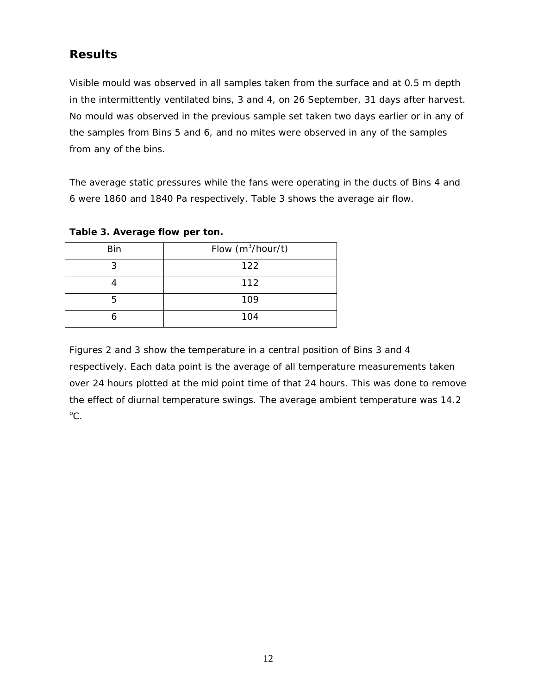## **Results**

Visible mould was observed in all samples taken from the surface and at 0.5 m depth in the intermittently ventilated bins, 3 and 4, on 26 September, 31 days after harvest. No mould was observed in the previous sample set taken two days earlier or in any of the samples from Bins 5 and 6, and no mites were observed in any of the samples from any of the bins.

The average static pressures while the fans were operating in the ducts of Bins 4 and 6 were 1860 and 1840 Pa respectively. Table 3 shows the average air flow.

| <b>Bin</b> | Flow $(m^3/hour/t)$ |
|------------|---------------------|
| ર          | 122                 |
|            | 112                 |
| 5          | 109                 |
|            | 104                 |

### **Table 3. Average flow per ton.**

Figures 2 and 3 show the temperature in a central position of Bins 3 and 4 respectively. Each data point is the average of all temperature measurements taken over 24 hours plotted at the mid point time of that 24 hours. This was done to remove the effect of diurnal temperature swings. The average ambient temperature was 14.2  $^{\circ}$ C.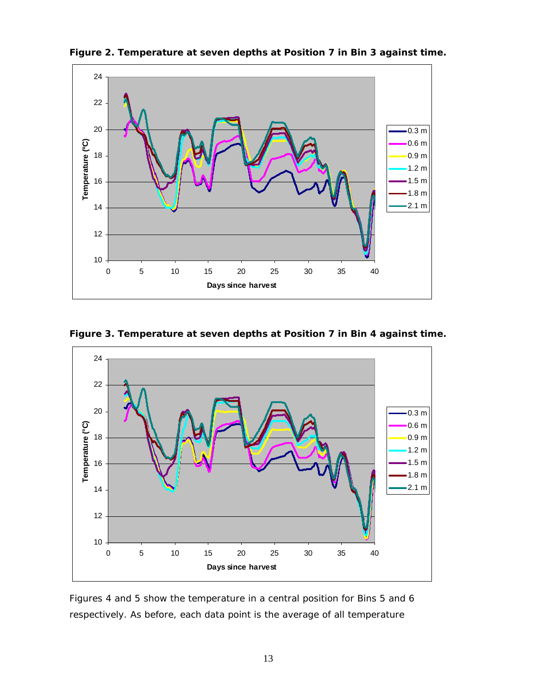

**Figure 2. Temperature at seven depths at Position 7 in Bin 3 against time.** 





Figures 4 and 5 show the temperature in a central position for Bins 5 and 6 respectively. As before, each data point is the average of all temperature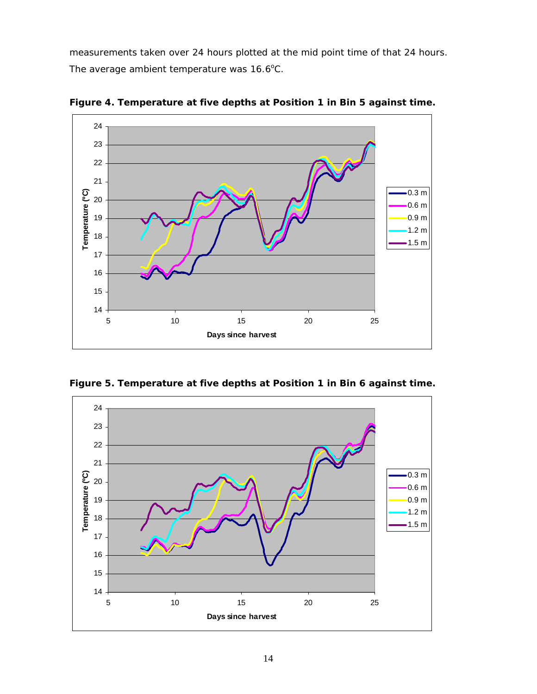measurements taken over 24 hours plotted at the mid point time of that 24 hours. The average ambient temperature was 16.6°C.



**Figure 4. Temperature at five depths at Position 1 in Bin 5 against time.** 

**Figure 5. Temperature at five depths at Position 1 in Bin 6 against time.** 

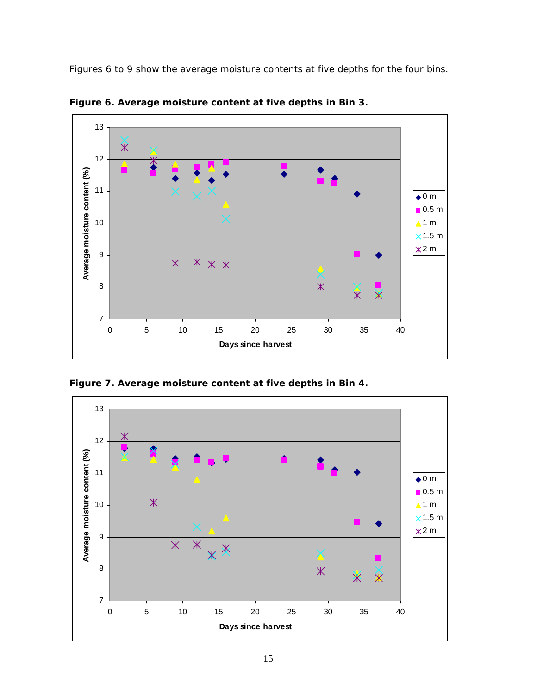Figures 6 to 9 show the average moisture contents at five depths for the four bins.



**Figure 6. Average moisture content at five depths in Bin 3.** 

**Figure 7. Average moisture content at five depths in Bin 4.** 

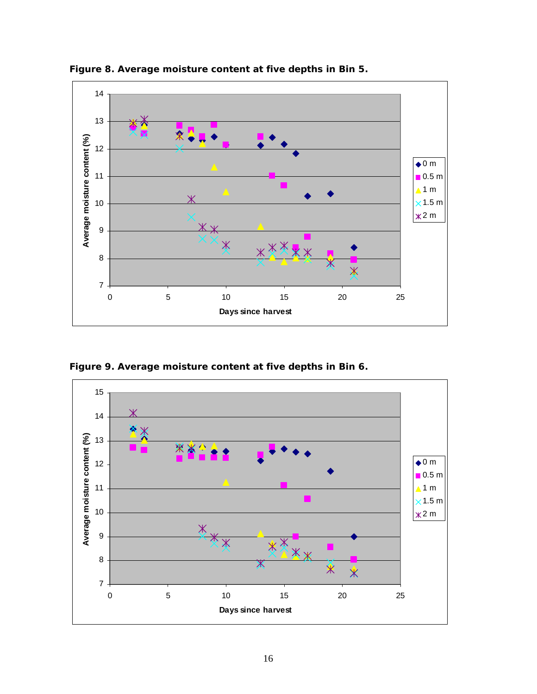

**Figure 8. Average moisture content at five depths in Bin 5.** 

**Figure 9. Average moisture content at five depths in Bin 6.** 

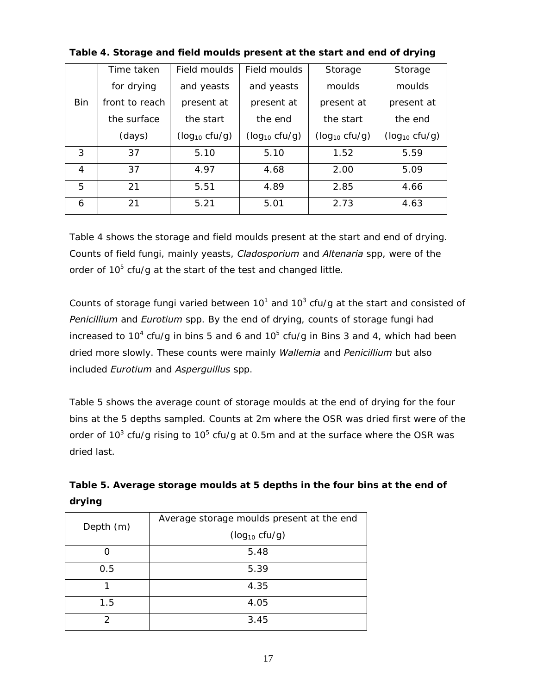|            | Time taken     | Field moulds       | Field moulds       | Storage            | Storage            |
|------------|----------------|--------------------|--------------------|--------------------|--------------------|
|            | for drying     | and yeasts         | and yeasts         | moulds             | moulds             |
| <b>Bin</b> | front to reach | present at         | present at         | present at         | present at         |
|            | the surface    | the start          | the end            | the start          | the end            |
|            | (days)         | $(log_{10} cfu/g)$ | $(log_{10} cfu/g)$ | $(log_{10} cfu/g)$ | $(log_{10} cfu/g)$ |
| 3          | 37             | 5.10               | 5.10               | 1.52               | 5.59               |
| 4          | 37             | 4.97               | 4.68               | 2.00               | 5.09               |
| 5          | 21             | 5.51               | 4.89               | 2.85               | 4.66               |
| 6          | 21             | 5.21               | 5.01               | 2.73               | 4.63               |

**Table 4. Storage and field moulds present at the start and end of drying** 

Table 4 shows the storage and field moulds present at the start and end of drying. Counts of field fungi, mainly yeasts, *Cladosporium* and *Altenaria* spp, were of the order of  $10^5$  cfu/g at the start of the test and changed little.

Counts of storage fungi varied between  $10^1$  and  $10^3$  cfu/g at the start and consisted of *Penicillium* and *Eurotium* spp. By the end of drying, counts of storage fungi had increased to 10<sup>4</sup> cfu/g in bins 5 and 6 and 10<sup>5</sup> cfu/g in Bins 3 and 4, which had been dried more slowly. These counts were mainly *Wallemia* and *Penicillium* but also included *Eurotium* and *Asperguillus* spp.

Table 5 shows the average count of storage moulds at the end of drying for the four bins at the 5 depths sampled. Counts at 2m where the OSR was dried first were of the order of 10<sup>3</sup> cfu/g rising to 10<sup>5</sup> cfu/g at 0.5m and at the surface where the OSR was dried last.

|           | Average storage moulds present at the end |
|-----------|-------------------------------------------|
| Depth (m) | $(log_{10} cfu/g)$                        |
|           |                                           |
| Ω         | 5.48                                      |
|           |                                           |
| 0.5       | 5.39                                      |
| 1         | 4.35                                      |
|           |                                           |
| 1.5       | 4.05                                      |
|           |                                           |
| っ         | 3.45                                      |
|           |                                           |

| Table 5. Average storage moulds at 5 depths in the four bins at the end of |  |
|----------------------------------------------------------------------------|--|
| drying                                                                     |  |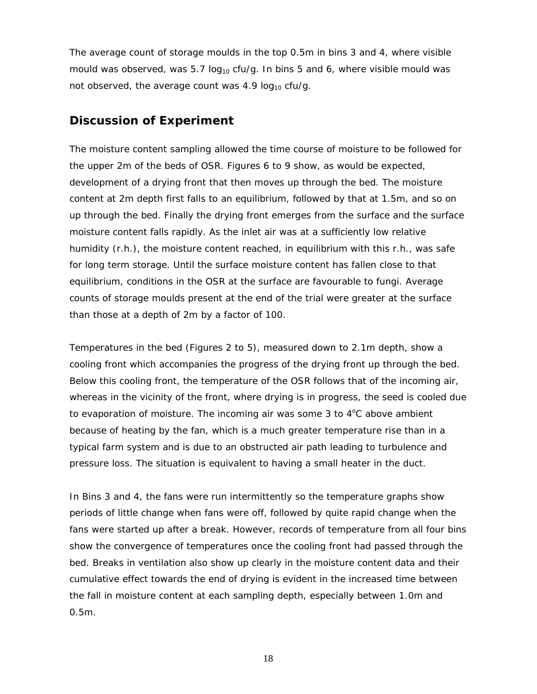The average count of storage moulds in the top 0.5m in bins 3 and 4, where visible mould was observed, was 5.7  $log_{10}$  cfu/g. In bins 5 and 6, where visible mould was not observed, the average count was  $4.9 \log_{10} c f u/g$ .

### **Discussion of Experiment**

The moisture content sampling allowed the time course of moisture to be followed for the upper 2m of the beds of OSR. Figures 6 to 9 show, as would be expected, development of a drying front that then moves up through the bed. The moisture content at 2m depth first falls to an equilibrium, followed by that at 1.5m, and so on up through the bed. Finally the drying front emerges from the surface and the surface moisture content falls rapidly. As the inlet air was at a sufficiently low relative humidity (r.h.), the moisture content reached, in equilibrium with this r.h., was safe for long term storage. Until the surface moisture content has fallen close to that equilibrium, conditions in the OSR at the surface are favourable to fungi. Average counts of storage moulds present at the end of the trial were greater at the surface than those at a depth of 2m by a factor of 100.

Temperatures in the bed (Figures 2 to 5), measured down to 2.1m depth, show a cooling front which accompanies the progress of the drying front up through the bed. Below this cooling front, the temperature of the OSR follows that of the incoming air, whereas in the vicinity of the front, where drying is in progress, the seed is cooled due to evaporation of moisture. The incoming air was some 3 to  $4^{\circ}$ C above ambient because of heating by the fan, which is a much greater temperature rise than in a typical farm system and is due to an obstructed air path leading to turbulence and pressure loss. The situation is equivalent to having a small heater in the duct.

In Bins 3 and 4, the fans were run intermittently so the temperature graphs show periods of little change when fans were off, followed by quite rapid change when the fans were started up after a break. However, records of temperature from all four bins show the convergence of temperatures once the cooling front had passed through the bed. Breaks in ventilation also show up clearly in the moisture content data and their cumulative effect towards the end of drying is evident in the increased time between the fall in moisture content at each sampling depth, especially between 1.0m and 0.5m.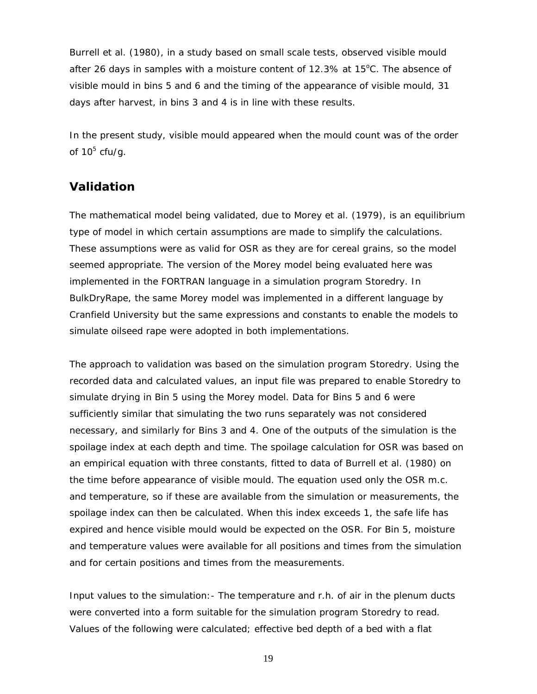Burrell et al. (1980), in a study based on small scale tests, observed visible mould after 26 days in samples with a moisture content of  $12.3\%$  at  $15^{\circ}$ C. The absence of visible mould in bins 5 and 6 and the timing of the appearance of visible mould, 31 days after harvest, in bins 3 and 4 is in line with these results.

In the present study, visible mould appeared when the mould count was of the order of 10 $5$  cfu/g.

### **Validation**

The mathematical model being validated, due to Morey et al. (1979), is an equilibrium type of model in which certain assumptions are made to simplify the calculations. These assumptions were as valid for OSR as they are for cereal grains, so the model seemed appropriate. The version of the Morey model being evaluated here was implemented in the FORTRAN language in a simulation program Storedry. In BulkDryRape, the same Morey model was implemented in a different language by Cranfield University but the same expressions and constants to enable the models to simulate oilseed rape were adopted in both implementations.

The approach to validation was based on the simulation program Storedry. Using the recorded data and calculated values, an input file was prepared to enable Storedry to simulate drying in Bin 5 using the Morey model. Data for Bins 5 and 6 were sufficiently similar that simulating the two runs separately was not considered necessary, and similarly for Bins 3 and 4. One of the outputs of the simulation is the spoilage index at each depth and time. The spoilage calculation for OSR was based on an empirical equation with three constants, fitted to data of Burrell et al. (1980) on the time before appearance of visible mould. The equation used only the OSR m.c. and temperature, so if these are available from the simulation or measurements, the spoilage index can then be calculated. When this index exceeds 1, the safe life has expired and hence visible mould would be expected on the OSR. For Bin 5, moisture and temperature values were available for all positions and times from the simulation and for certain positions and times from the measurements.

Input values to the simulation:- The temperature and r.h. of air in the plenum ducts were converted into a form suitable for the simulation program Storedry to read. Values of the following were calculated; effective bed depth of a bed with a flat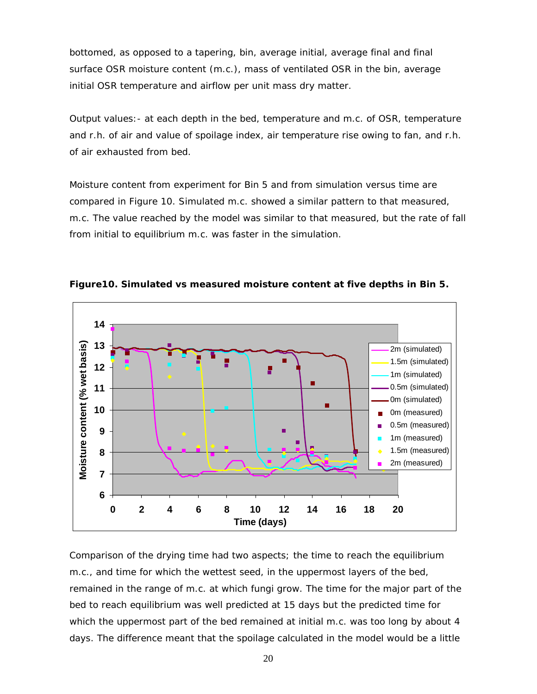bottomed, as opposed to a tapering, bin, average initial, average final and final surface OSR moisture content (m.c.), mass of ventilated OSR in the bin, average initial OSR temperature and airflow per unit mass dry matter.

Output values:- at each depth in the bed, temperature and m.c. of OSR, temperature and r.h. of air and value of spoilage index, air temperature rise owing to fan, and r.h. of air exhausted from bed.

Moisture content from experiment for Bin 5 and from simulation versus time are compared in Figure 10. Simulated m.c. showed a similar pattern to that measured, m.c. The value reached by the model was similar to that measured, but the rate of fall from initial to equilibrium m.c. was faster in the simulation.



**Figure10. Simulated vs measured moisture content at five depths in Bin 5.** 

Comparison of the drying time had two aspects; the time to reach the equilibrium m.c., and time for which the wettest seed, in the uppermost layers of the bed, remained in the range of m.c. at which fungi grow. The time for the major part of the bed to reach equilibrium was well predicted at 15 days but the predicted time for which the uppermost part of the bed remained at initial m.c. was too long by about 4 days. The difference meant that the spoilage calculated in the model would be a little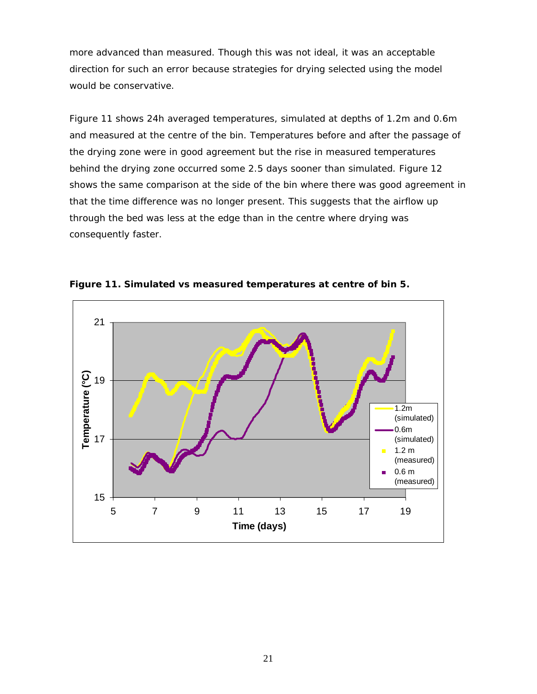more advanced than measured. Though this was not ideal, it was an acceptable direction for such an error because strategies for drying selected using the model would be conservative.

Figure 11 shows 24h averaged temperatures, simulated at depths of 1.2m and 0.6m and measured at the centre of the bin. Temperatures before and after the passage of the drying zone were in good agreement but the rise in measured temperatures behind the drying zone occurred some 2.5 days sooner than simulated. Figure 12 shows the same comparison at the side of the bin where there was good agreement in that the time difference was no longer present. This suggests that the airflow up through the bed was less at the edge than in the centre where drying was consequently faster.

![](_page_22_Figure_2.jpeg)

**Figure 11. Simulated vs measured temperatures at centre of bin 5.**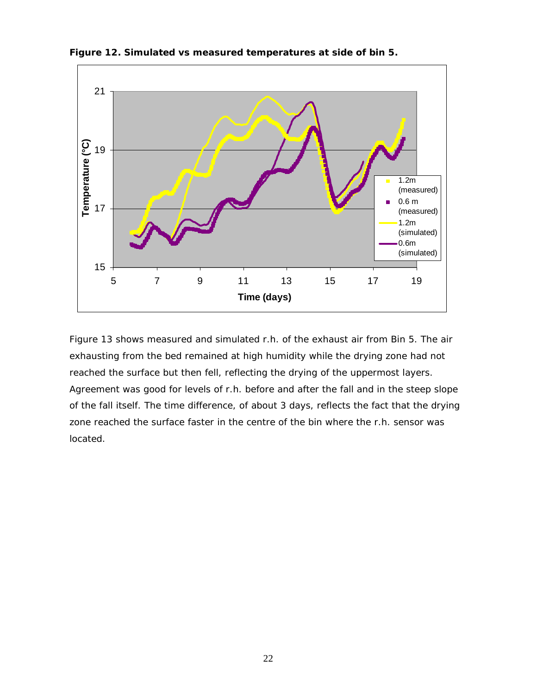![](_page_23_Figure_0.jpeg)

**Figure 12. Simulated vs measured temperatures at side of bin 5.** 

Figure 13 shows measured and simulated r.h. of the exhaust air from Bin 5. The air exhausting from the bed remained at high humidity while the drying zone had not reached the surface but then fell, reflecting the drying of the uppermost layers. Agreement was good for levels of r.h. before and after the fall and in the steep slope of the fall itself. The time difference, of about 3 days, reflects the fact that the drying zone reached the surface faster in the centre of the bin where the r.h. sensor was located.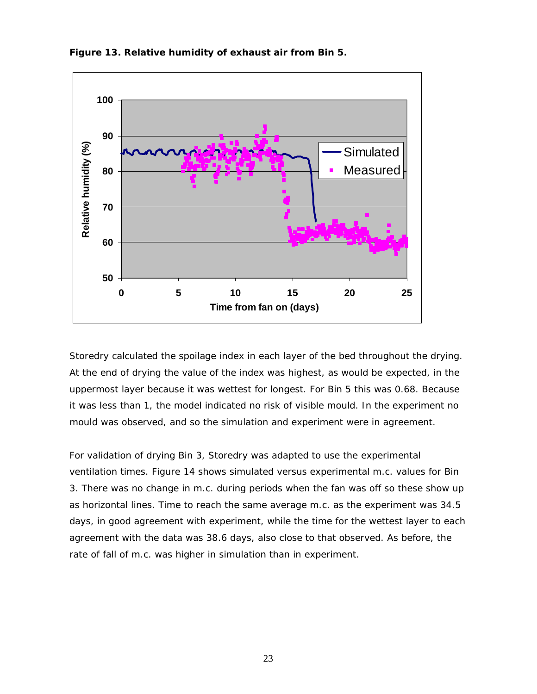![](_page_24_Figure_0.jpeg)

**Figure 13. Relative humidity of exhaust air from Bin 5.** 

Storedry calculated the spoilage index in each layer of the bed throughout the drying. At the end of drying the value of the index was highest, as would be expected, in the uppermost layer because it was wettest for longest. For Bin 5 this was 0.68. Because it was less than 1, the model indicated no risk of visible mould. In the experiment no mould was observed, and so the simulation and experiment were in agreement.

For validation of drying Bin 3, Storedry was adapted to use the experimental ventilation times. Figure 14 shows simulated versus experimental m.c. values for Bin 3. There was no change in m.c. during periods when the fan was off so these show up as horizontal lines. Time to reach the same average m.c. as the experiment was 34.5 days, in good agreement with experiment, while the time for the wettest layer to each agreement with the data was 38.6 days, also close to that observed. As before, the rate of fall of m.c. was higher in simulation than in experiment.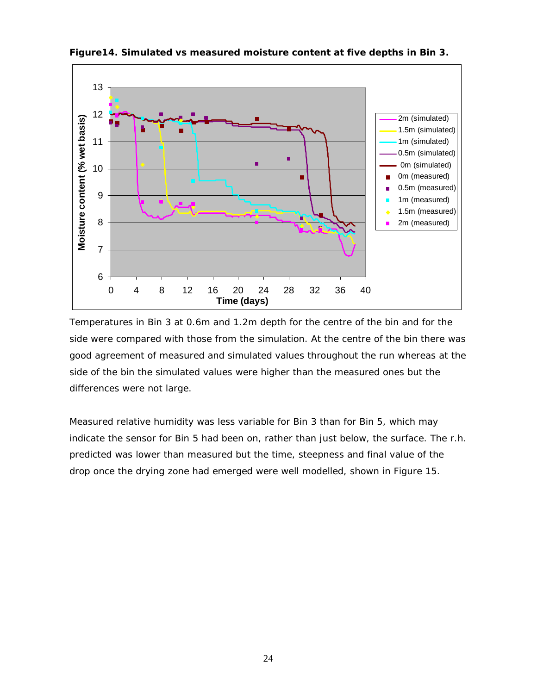![](_page_25_Figure_0.jpeg)

**Figure14. Simulated vs measured moisture content at five depths in Bin 3.** 

Temperatures in Bin 3 at 0.6m and 1.2m depth for the centre of the bin and for the side were compared with those from the simulation. At the centre of the bin there was good agreement of measured and simulated values throughout the run whereas at the side of the bin the simulated values were higher than the measured ones but the differences were not large.

Measured relative humidity was less variable for Bin 3 than for Bin 5, which may indicate the sensor for Bin 5 had been on, rather than just below, the surface. The r.h. predicted was lower than measured but the time, steepness and final value of the drop once the drying zone had emerged were well modelled, shown in Figure 15.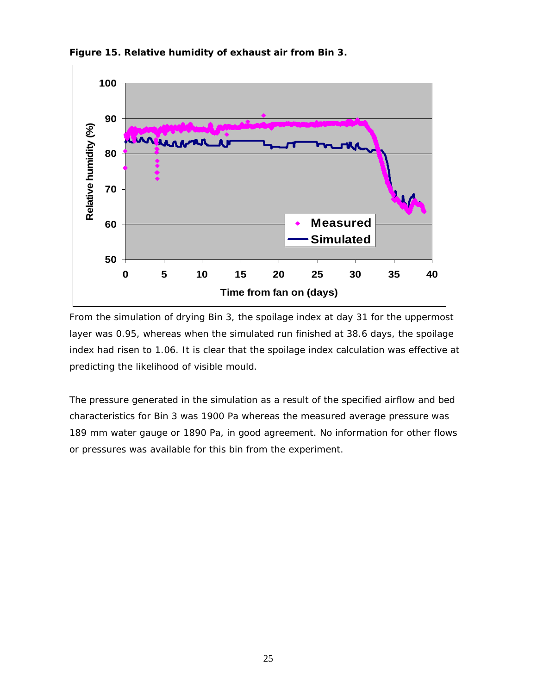![](_page_26_Figure_0.jpeg)

**Figure 15. Relative humidity of exhaust air from Bin 3.** 

From the simulation of drying Bin 3, the spoilage index at day 31 for the uppermost layer was 0.95, whereas when the simulated run finished at 38.6 days, the spoilage index had risen to 1.06. It is clear that the spoilage index calculation was effective at predicting the likelihood of visible mould.

The pressure generated in the simulation as a result of the specified airflow and bed characteristics for Bin 3 was 1900 Pa whereas the measured average pressure was 189 mm water gauge or 1890 Pa, in good agreement. No information for other flows or pressures was available for this bin from the experiment.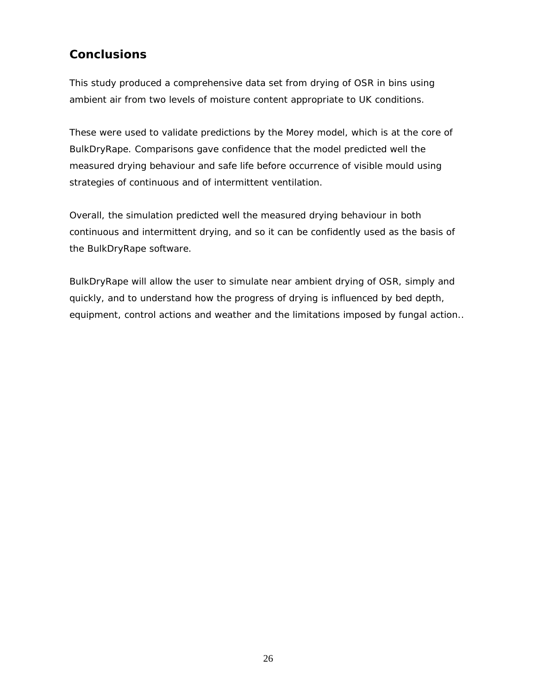# **Conclusions**

This study produced a comprehensive data set from drying of OSR in bins using ambient air from two levels of moisture content appropriate to UK conditions.

These were used to validate predictions by the Morey model, which is at the core of BulkDryRape. Comparisons gave confidence that the model predicted well the measured drying behaviour and safe life before occurrence of visible mould using strategies of continuous and of intermittent ventilation.

Overall, the simulation predicted well the measured drying behaviour in both continuous and intermittent drying, and so it can be confidently used as the basis of the BulkDryRape software.

BulkDryRape will allow the user to simulate near ambient drying of OSR, simply and quickly, and to understand how the progress of drying is influenced by bed depth, equipment, control actions and weather and the limitations imposed by fungal action..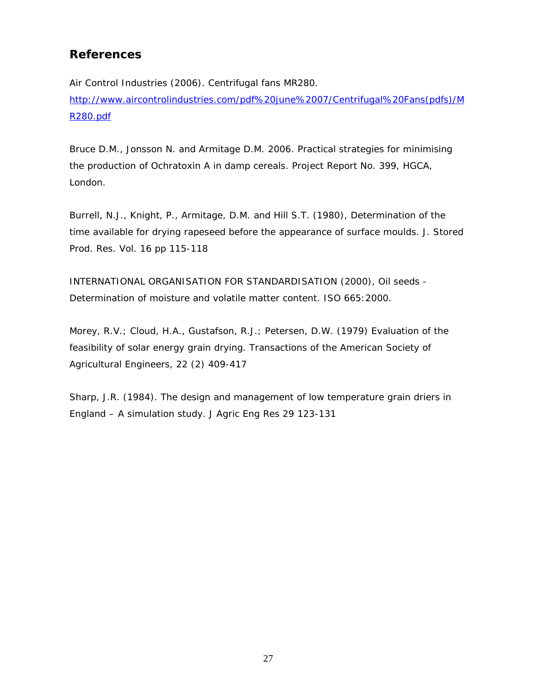## **References**

Air Control Industries (2006). Centrifugal fans MR280. http://www.aircontrolindustries.com/pdf%20june%2007/Centrifugal%20Fans(pdfs)/M R280.pdf

Bruce D.M., Jonsson N. and Armitage D.M. 2006. Practical strategies for minimising the production of Ochratoxin A in damp cereals. Project Report No. 399, HGCA, London.

Burrell, N.J., Knight, P., Armitage, D.M. and Hill S.T. (1980), Determination of the time available for drying rapeseed before the appearance of surface moulds. J. Stored Prod. Res. Vol. 16 pp 115-118

INTERNATIONAL ORGANISATION FOR STANDARDISATION (2000), Oil seeds - Determination of moisture and volatile matter content. ISO 665:2000.

Morey, R.V.; Cloud, H.A., Gustafson, R.J.; Petersen, D.W. (1979) Evaluation of the feasibility of solar energy grain drying. Transactions of the American Society of Agricultural Engineers, 22 (2) 409-417

Sharp, J.R. (1984). The design and management of low temperature grain driers in England – A simulation study. J Agric Eng Res 29 123-131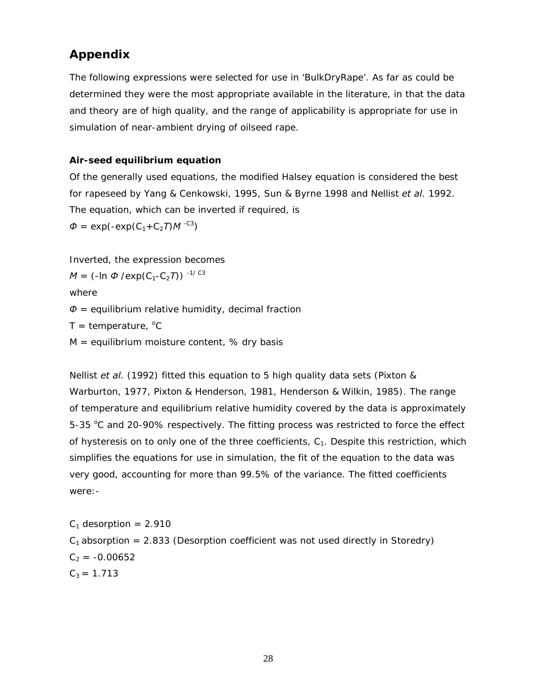## **Appendix**

The following expressions were selected for use in 'BulkDryRape'. As far as could be determined they were the most appropriate available in the literature, in that the data and theory are of high quality, and the range of applicability is appropriate for use in simulation of near-ambient drying of oilseed rape.

### **Air-seed equilibrium equation**

Of the generally used equations, the modified Halsey equation is considered the best for rapeseed by Yang & Cenkowski, 1995, Sun & Byrne 1998 and Nellist *et al*. 1992. The equation, which can be inverted if required, is

 $\Phi = \exp(-\exp(C_1 + C_2 T) M^{-C3})$ 

Inverted, the expression becomes

$$
M = (-\ln \Phi / \exp(C_1 - C_2 T))^{-1/ C3}
$$

where

*Φ* = equilibrium relative humidity, decimal fraction

 $T =$  temperature,  $^{\circ}C$ 

 $M =$  equilibrium moisture content, % dry basis

Nellist *et al*. (1992) fitted this equation to 5 high quality data sets (Pixton & Warburton, 1977, Pixton & Henderson, 1981, Henderson & Wilkin, 1985). The range of temperature and equilibrium relative humidity covered by the data is approximately 5-35 °C and 20-90% respectively. The fitting process was restricted to force the effect of hysteresis on to only one of the three coefficients,  $C_1$ . Despite this restriction, which simplifies the equations for use in simulation, the fit of the equation to the data was very good, accounting for more than 99.5% of the variance. The fitted coefficients were:-

 $C_1$  desorption = 2.910  $C_1$  absorption = 2.833 (Desorption coefficient was not used directly in Storedry)  $C_2 = -0.00652$  $C_3 = 1.713$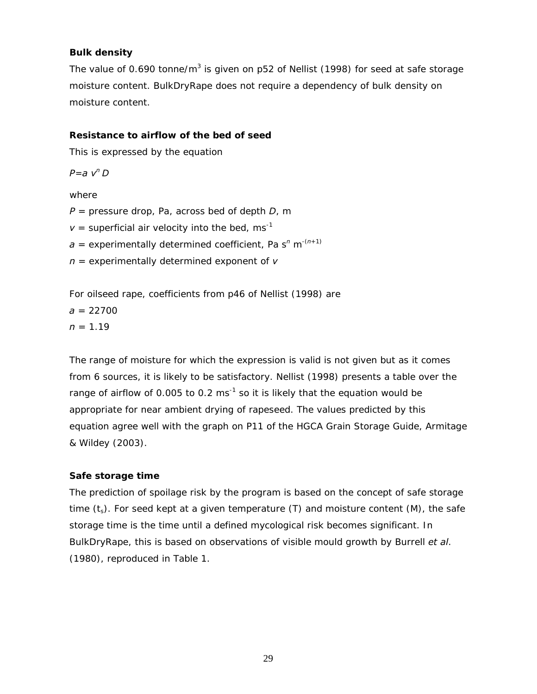#### **Bulk density**

The value of 0.690 tonne/m<sup>3</sup> is given on p52 of Nellist (1998) for seed at safe storage moisture content. BulkDryRape does not require a dependency of bulk density on moisture content.

#### **Resistance to airflow of the bed of seed**

This is expressed by the equation

*P=a vn D* 

#### where

*P* = pressure drop, Pa, across bed of depth *D*, m

 $v =$  superficial air velocity into the bed, ms<sup>-1</sup>

*a* = experimentally determined coefficient, Pa s*<sup>n</sup>* m-(*n*+1)

*n* = experimentally determined exponent of *v*

For oilseed rape, coefficients from p46 of Nellist (1998) are

 $a = 22700$  $n = 1.19$ 

The range of moisture for which the expression is valid is not given but as it comes from 6 sources, it is likely to be satisfactory. Nellist (1998) presents a table over the range of airflow of 0.005 to 0.2  $ms^{-1}$  so it is likely that the equation would be appropriate for near ambient drying of rapeseed. The values predicted by this equation agree well with the graph on P11 of the HGCA Grain Storage Guide, Armitage & Wildey (2003).

### **Safe storage time**

The prediction of spoilage risk by the program is based on the concept of safe storage time  $(t_s)$ . For seed kept at a given temperature (T) and moisture content (M), the safe storage time is the time until a defined mycological risk becomes significant. In BulkDryRape, this is based on observations of visible mould growth by Burrell *et al*. (1980), reproduced in Table 1.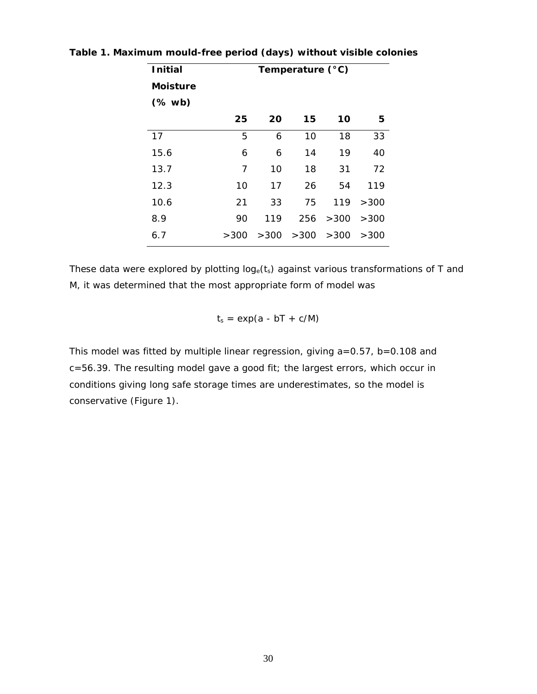| <b>Initial</b>                             | Temperature (°C) |      |      |      |      |
|--------------------------------------------|------------------|------|------|------|------|
| <b>Moisture</b>                            |                  |      |      |      |      |
| $(% \mathcal{L}_{0} \cap \mathcal{L}_{1})$ |                  |      |      |      |      |
|                                            | 25               | 20   | 15   | 10   | 5    |
| 17                                         | 5                | 6    | 10   | 18   | 33   |
| 15.6                                       | 6                | 6    | 14   | 19   | 40   |
| 13.7                                       | 7                | 10   | 18   | 31   | 72   |
| 12.3                                       | 10               | 17   | 26   | 54   | 119  |
| 10.6                                       | 21               | 33   | 75   | 119  | >300 |
| 8.9                                        | 90               | 119  | 256  | >300 | >300 |
| 6.7                                        | >300             | >300 | >300 | >300 | >300 |

**Table 1. Maximum mould-free period (days) without visible colonies**

These data were explored by plotting  $log_e(t_s)$  against various transformations of T and M, it was determined that the most appropriate form of model was

 $t_s = exp(a - bT + c/M)$ 

This model was fitted by multiple linear regression, giving a=0.57, b=0.108 and c=56.39. The resulting model gave a good fit; the largest errors, which occur in conditions giving long safe storage times are underestimates, so the model is conservative (Figure 1).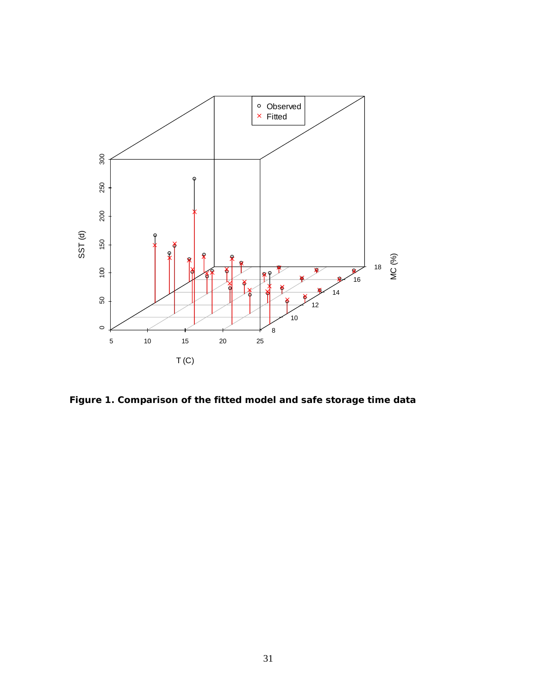![](_page_32_Figure_0.jpeg)

**Figure 1. Comparison of the fitted model and safe storage time data**